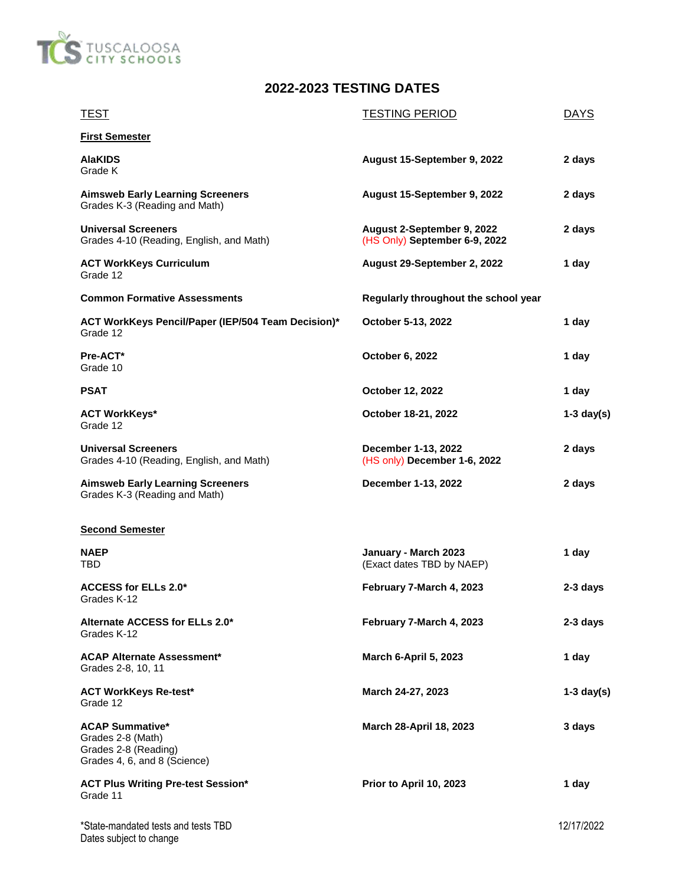

## **2022-2023 TESTING DATES**

| <b>TEST</b>                                                                                         | <b>TESTING PERIOD</b>                                       | <b>DAYS</b>  |
|-----------------------------------------------------------------------------------------------------|-------------------------------------------------------------|--------------|
| <b>First Semester</b>                                                                               |                                                             |              |
| <b>AlaKIDS</b><br>Grade K                                                                           | August 15-September 9, 2022                                 | 2 days       |
| <b>Aimsweb Early Learning Screeners</b><br>Grades K-3 (Reading and Math)                            | August 15-September 9, 2022                                 | 2 days       |
| <b>Universal Screeners</b><br>Grades 4-10 (Reading, English, and Math)                              | August 2-September 9, 2022<br>(HS Only) September 6-9, 2022 | 2 days       |
| <b>ACT WorkKeys Curriculum</b><br>Grade 12                                                          | August 29-September 2, 2022                                 | 1 day        |
| <b>Common Formative Assessments</b>                                                                 | Regularly throughout the school year                        |              |
| ACT WorkKeys Pencil/Paper (IEP/504 Team Decision)*<br>Grade 12                                      | October 5-13, 2022                                          | 1 day        |
| Pre-ACT*<br>Grade 10                                                                                | October 6, 2022                                             | 1 day        |
| PSAT                                                                                                | October 12, 2022                                            | 1 day        |
| <b>ACT WorkKeys*</b><br>Grade 12                                                                    | October 18-21, 2022                                         | $1-3$ day(s) |
| <b>Universal Screeners</b><br>Grades 4-10 (Reading, English, and Math)                              | December 1-13, 2022<br>(HS only) December 1-6, 2022         | 2 days       |
| <b>Aimsweb Early Learning Screeners</b><br>Grades K-3 (Reading and Math)                            | December 1-13, 2022                                         | 2 days       |
| <b>Second Semester</b>                                                                              |                                                             |              |
| NAEP<br>TBD                                                                                         | January - March 2023<br>(Exact dates TBD by NAEP)           | 1 day        |
| ACCESS for ELLs 2.0*<br>Grades K-12                                                                 | February 7-March 4, 2023                                    | 2-3 days     |
| Alternate ACCESS for ELLs 2.0*<br>Grades K-12                                                       | February 7-March 4, 2023                                    | 2-3 days     |
| <b>ACAP Alternate Assessment*</b><br>Grades 2-8, 10, 11                                             | <b>March 6-April 5, 2023</b>                                | 1 day        |
| <b>ACT WorkKeys Re-test*</b><br>Grade 12                                                            | March 24-27, 2023                                           | $1-3$ day(s) |
| <b>ACAP Summative*</b><br>Grades 2-8 (Math)<br>Grades 2-8 (Reading)<br>Grades 4, 6, and 8 (Science) | March 28-April 18, 2023                                     | 3 days       |
| <b>ACT Plus Writing Pre-test Session*</b><br>Grade 11                                               | Prior to April 10, 2023                                     | 1 day        |
| *State-mandated tests and tests TBD<br>Dates subject to change                                      |                                                             | 12/17/2022   |